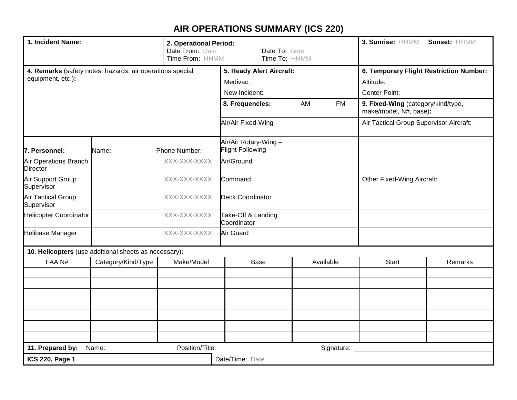## **AIR OPERATIONS SUMMARY (ICS 220)**

| 1. Incident Name:<br>2. Operational Period:<br>Date From: Date<br>Time From: HHMM |                                                           |                          | Date To: Date<br>Time To: HHMM                   |           |                                                              | 3. Sunrise: HHMM                  | Sunset: HHMM |  |
|-----------------------------------------------------------------------------------|-----------------------------------------------------------|--------------------------|--------------------------------------------------|-----------|--------------------------------------------------------------|-----------------------------------|--------------|--|
|                                                                                   | 4. Remarks (safety notes, hazards, air operations special | 5. Ready Alert Aircraft: |                                                  |           | 6. Temporary Flight Restriction Number:                      |                                   |              |  |
| equipment, etc.):                                                                 |                                                           |                          | Medivac:                                         |           |                                                              | Altitude:                         |              |  |
|                                                                                   |                                                           | New Incident:            |                                                  |           | <b>Center Point:</b>                                         |                                   |              |  |
|                                                                                   |                                                           | 8. Frequencies:          | AM                                               | <b>FM</b> | 9. Fixed-Wing (category/kind/type,<br>make/model, N#, base): |                                   |              |  |
|                                                                                   |                                                           | Air/Air Fixed-Wing       |                                                  |           | Air Tactical Group Supervisor Aircraft:                      |                                   |              |  |
| 7. Personnel:                                                                     | Name:                                                     | Phone Number:            | Air/Air Rotary-Wing -<br><b>Flight Following</b> |           |                                                              |                                   |              |  |
| Air Operations Branch<br><b>Director</b>                                          |                                                           | XXX-XXX-XXXX             | Air/Ground                                       |           |                                                              |                                   |              |  |
| Air Support Group<br>Supervisor                                                   |                                                           | XXX-XXX-XXXX             | Command                                          |           |                                                              | <b>Other Fixed-Wing Aircraft:</b> |              |  |
| <b>Air Tactical Group</b><br>Supervisor                                           |                                                           | XXX-XXX-XXXX             | <b>Deck Coordinator</b>                          |           |                                                              |                                   |              |  |
| <b>Helicopter Coordinator</b>                                                     |                                                           | XXX-XXX-XXXX             | Take-Off & Landing<br>Coordinator                |           |                                                              |                                   |              |  |
| Helibase Manager                                                                  |                                                           | XXX-XXX-XXXX             | Air Guard                                        |           |                                                              |                                   |              |  |
|                                                                                   | 10. Helicopters (use additional sheets as necessary):     |                          |                                                  |           |                                                              |                                   |              |  |
| FAA N#<br>Category/Kind/Type                                                      |                                                           | Make/Model               | Base                                             |           | Available                                                    | Start                             | Remarks      |  |
|                                                                                   |                                                           |                          |                                                  |           |                                                              |                                   |              |  |
|                                                                                   |                                                           |                          |                                                  |           |                                                              |                                   |              |  |
|                                                                                   |                                                           |                          |                                                  |           |                                                              |                                   |              |  |
|                                                                                   |                                                           |                          |                                                  |           |                                                              |                                   |              |  |
|                                                                                   |                                                           |                          |                                                  |           |                                                              |                                   |              |  |
| 11. Prepared by:                                                                  | Name:                                                     | Position/Title:          | Signature:                                       |           |                                                              |                                   |              |  |
| <b>ICS 220, Page 1</b>                                                            |                                                           |                          | Date/Time: Date                                  |           |                                                              |                                   |              |  |